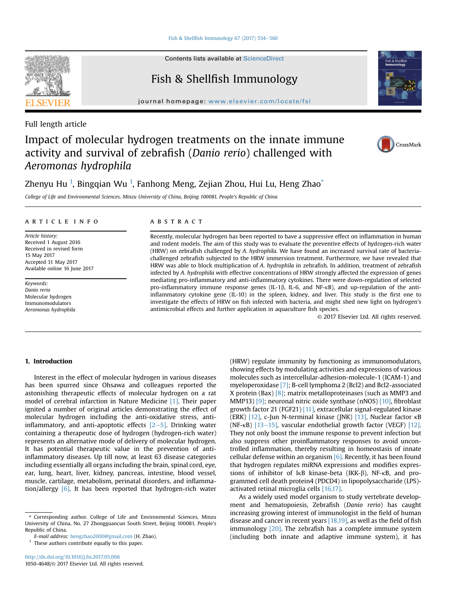Fish & Shellfish Immunology 67 (2017)  $554-560$  $554-560$ 

Contents lists available at ScienceDirect

## Fish & Shellfish Immunology

journal homepage: [www.elsevier.com/locate/fsi](http://www.elsevier.com/locate/fsi)

Full length article

# Impact of molecular hydrogen treatments on the innate immune activity and survival of zebrafish (Danio rerio) challenged with Aeromonas hydrophila

Zhenyu Hu <sup>1</sup>, Bingqian Wu <sup>1</sup>, Fanhong Meng, Zejian Zhou, Hui Lu, Heng Zhao $^\ast$ 

College of Life and Environmental Sciences, Minzu University of China, Beijing 100081, People's Republic of China

#### article info

Article history: Received 1 August 2016 Received in revised form 15 May 2017 Accepted 31 May 2017 Available online 16 June 2017

Keywords: Danio rerio Molecular hydrogen Immunomodulators Aeromonas hydrophila

#### **ABSTRACT**

Recently, molecular hydrogen has been reported to have a suppressive effect on inflammation in human and rodent models. The aim of this study was to evaluate the preventive effects of hydrogen-rich water (HRW) on zebrafish challenged by A. hydrophila. We have found an increased survival rate of bacteriachallenged zebrafish subjected to the HRW immersion treatment. Furthermore, we have revealed that HRW was able to block multiplication of A. hydrophila in zebrafish. In addition, treatment of zebrafish infected by A. hydrophila with effective concentrations of HRW strongly affected the expression of genes mediating pro-inflammatory and anti-inflammatory cytokines. There were down-regulation of selected pro-inflammatory immune response genes (IL-1 $\beta$ , IL-6, and NF- $\kappa$ B), and up-regulation of the antiinflammatory cytokine gene (IL-10) in the spleen, kidney, and liver. This study is the first one to investigate the effects of HRW on fish infected with bacteria, and might shed new light on hydrogen's antimicrobial effects and further application in aquaculture fish species.

© 2017 Elsevier Ltd. All rights reserved.

## 1. Introduction

Interest in the effect of molecular hydrogen in various diseases has been spurred since Ohsawa and colleagues reported the astonishing therapeutic effects of molecular hydrogen on a rat model of cerebral infarction in Nature Medicine [\[1\].](#page-6-0) Their paper ignited a number of original articles demonstrating the effect of molecular hydrogen including the anti-oxidative stress, antiinflammatory, and anti-apoptotic effects  $[2-5]$  $[2-5]$ . Drinking water containing a therapeutic dose of hydrogen (hydrogen-rich water) represents an alternative mode of delivery of molecular hydrogen. It has potential therapeutic value in the prevention of antiinflammatory diseases. Up till now, at least 63 disease categories including essentially all organs including the brain, spinal cord, eye, ear, lung, heart, liver, kidney, pancreas, intestine, blood vessel, muscle, cartilage, metabolism, perinatal disorders, and inflammation/allergy [\[6\]](#page-6-0). It has been reported that hydrogen-rich water

 $^{\rm 1}$  These authors contribute equally to this paper.

(HRW) regulate immunity by functioning as immunomodulators, showing effects by modulating activities and expressions of various molecules such as intercellular-adhesion-molecule-1 (ICAM-1) and myeloperoxidase [\[7\]](#page-6-0); B-cell lymphoma 2 (Bcl2) and Bcl2-associated X protein (Bax) [\[8\]](#page-6-0); matrix metalloproteinases (such as MMP3 and MMP13) [\[9\];](#page-6-0) neuronal nitric oxide synthase (nNOS) [\[10\],](#page-6-0) fibroblast growth factor 21 (FGF21) [\[11\]](#page-6-0), extracellular signal-regulated kinase (ERK) [\[12\]](#page-6-0), c-Jun N-terminal kinase (JNK) [\[13\],](#page-6-0) Nuclear factor k<sup>B</sup> (NF- $\kappa$ B) [\[13](#page-6-0)-[15\],](#page-6-0) vascular endothelial growth factor (VEGF) [\[12\].](#page-6-0) They not only boost the immune response to prevent infection but also suppress other proinflammatory responses to avoid uncontrolled inflammation, thereby resulting in homeostasis of innate cellular defense within an organism  $[6]$ . Recently, it has been found that hydrogen regulates miRNA expressions and modifies expressions of inhibitor of  $I \kappa B$  kinase-beta (IKK- $\beta$ ), NF- $\kappa B$ , and programmed cell death protein4 (PDCD4) in lipopolysaccharide (LPS) activated retinal microglia cells [\[16,17\]](#page-6-0).

As a widely used model organism to study vertebrate development and hematopoiesis, Zebrafish (Danio rerio) has caught increasing growing interest of immunologist in the field of human disease and cancer in recent years  $[18,19]$ , as well as the field of fish immunology [\[20\].](#page-6-0) The zebrafish has a complete immune system (including both innate and adaptive immune system), it has







<sup>\*</sup> Corresponding author. College of Life and Environmental Sciences, Minzu University of China, No. 27 Zhongguancun South Street, Beijing 100081, People's Republic of China.

E-mail address: [hengzhao2000@gmail.com](mailto:hengzhao2000@gmail.com) (H. Zhao).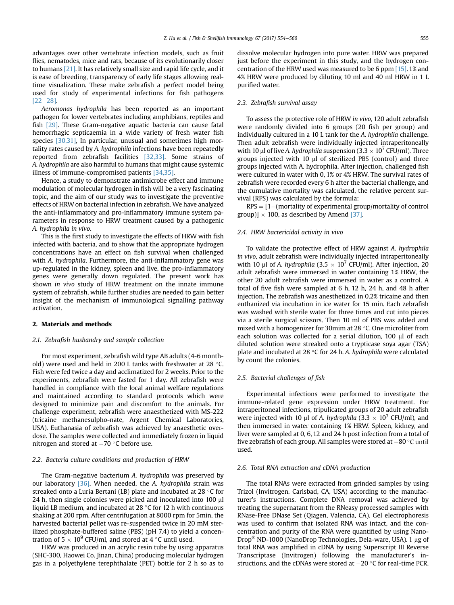advantages over other vertebrate infection models, such as fruit flies, nematodes, mice and rats, because of its evolutionarily closer to humans [\[21\].](#page-6-0) It has relatively small size and rapid life cycle, and it is ease of breeding, transparency of early life stages allowing realtime visualization. These make zebrafish a perfect model being used for study of experimental infections for fish pathogens  $[22-28]$  $[22-28]$ .

Aeromonas hydrophila has been reported as an important pathogen for lower vertebrates including amphibians, reptiles and fish [\[29\].](#page-6-0) These Gram-negative aquatic bacteria can cause fatal hemorrhagic septicaemia in a wide variety of fresh water fish species [\[30,31\],](#page-6-0) In particular, unusual and sometimes high mortality rates caused by A. hydrophila infections have been repeatedly reported from zebrafish facilities [\[32,33\].](#page-6-0) Some strains of A. hydrophila are also harmful to humans that might cause systemic illness of immune-compromised patients [\[34,35\].](#page-6-0)

Hence, a study to demonstrate antimicrobe effect and immune modulation of molecular hydrogen in fish will be a very fascinating topic, and the aim of our study was to investigate the preventive effects of HRW on bacterial infection in zebrafish. We have analyzed the anti-inflammatory and pro-inflammatory immune system parameters in response to HRW treatment caused by a pathogenic A. hydrophila in vivo.

This is the first study to investigate the effects of HRW with fish infected with bacteria, and to show that the appropriate hydrogen concentrations have an effect on fish survival when challenged with A. hydrophila. Furthermore, the anti-inflammatory gene was up-regulated in the kidney, spleen and live, the pro-inflammatory genes were generally down regulated. The present work has shown in vivo study of HRW treatment on the innate immune system of zebrafish, while further studies are needed to gain better insight of the mechanism of immunological signalling pathway activation.

#### 2. Materials and methods

#### 2.1. Zebrafish husbandry and sample collection

For most experiment, zebrafish wild type AB adults (4-6 monthold) were used and held in 200 L tanks with freshwater at 28  $\degree$ C. Fish were fed twice a day and acclimatized for 2 weeks. Prior to the experiments, zebrafish were fasted for 1 day. All zebrafish were handled in compliance with the local animal welfare regulations and maintained according to standard protocols which were designed to minimize pain and discomfort to the animals. For challenge experiment, zebrafish were anaesthetized with MS-222 (tricaine methanesulpho-nate, Argent Chemical Laboratories, USA). Euthanasia of zebrafish was achieved by anaesthetic overdose. The samples were collected and immediately frozen in liquid nitrogen and stored at  $-70$  °C before use.

#### 2.2. Bacteria culture conditions and production of HRW

The Gram-negative bacterium A. hydrophila was preserved by our laboratory  $[36]$ . When needed, the A. hydrophila strain was streaked onto a Luria Bertani (LB) plate and incubated at 28  $\degree$ C for 24 h, then single colonies were picked and inoculated into 100 µl liquid LB medium, and incubated at 28  $\degree$ C for 12 h with continuous shaking at 200 rpm. After centrifugation at 8000 rpm for 5min, the harvested bacterial pellet was re-suspended twice in 20 mM sterilized phosphate-buffered saline (PBS) (pH 7.4) to yield a concentration of  $5 \times 10^9$  CFU/ml, and stored at 4 °C until used.

HRW was produced in an acrylic resin tube by using apparatus (SHC-300, Haowei Co. Jinan, China) producing molecular hydrogen gas in a polyethylene terephthalate (PET) bottle for 2 h so as to dissolve molecular hydrogen into pure water. HRW was prepared just before the experiment in this study, and the hydrogen concentration of the HRW used was measured to be 6 ppm [\[15\].](#page-6-0) 1% and 4% HRW were produced by diluting 10 ml and 40 ml HRW in 1 L purified water.

#### 2.3. Zebrafish survival assay

To assess the protective role of HRW in vivo, 120 adult zebrafish were randomly divided into 6 groups (20 fish per group) and individually cultured in a 10 L tank for the A. hydrophila challenge. Then adult zebrafish were individually injected intraperitoneally with 10 µl of live A. hydrophila suspension (3.3  $\times$  10<sup>7</sup> CFU/ml). Three groups injected with 10  $\mu$ l of sterilized PBS (control) and three groups injected with A. hydrophila. After injection, challenged fish were cultured in water with 0, 1% or 4% HRW. The survival rates of zebrafish were recorded every 6 h after the bacterial challenge, and the cumulative mortality was calculated, the relative percent survival (RPS) was calculated by the formula:

 $RPS = [1-(\text{mortality of experimental group/mortality of control}]$ group)]  $\times$  100, as described by Amend [\[37\]](#page-6-0).

#### 2.4. HRW bactericidal activity in vivo

To validate the protective effect of HRW against A. hydrophila in vivo, adult zebrafish were individually injected intraperitoneally with 10  $\mu$ l of A. hydrophila (3.5  $\times$  10<sup>7</sup> CFU/ml). After injection, 20 adult zebrafish were immersed in water containing 1% HRW, the other 20 adult zebrafish were immersed in water as a control. A total of five fish were sampled at 6 h, 12 h, 24 h, and 48 h after injection. The zebrafish was anesthetized in 0.2% tricaine and then euthanized via incubation in ice water for 15 min. Each zebrafish was washed with sterile water for three times and cut into pieces via a sterile surgical scissors. Then 10 ml of PBS was added and mixed with a homogenizer for 30 $m$ im at 28  $\degree$ C. One microliter from each solution was collected for a serial dilution, 100 µl of each diluted solution were streaked onto a trypticase soya agar (TSA) plate and incubated at 28 °C for 24 h. A. hydrophila were calculated by count the colonies.

#### 2.5. Bacterial challenges of fish

Experimental infections were performed to investigate the immune-related gene expression under HRW treatment. For intraperitoneal infections, tripulicated groups of 20 adult zebrafish were injected with 10 µl of A. hydrophila (3.3  $\times$  10<sup>7</sup> CFU/ml), and then immersed in water containing 1% HRW. Spleen, kidney, and liver were sampled at 0, 6, 12 and 24 h post infection from a total of five zebrafish of each group. All samples were stored at  $-80$  °C until used.

#### 2.6. Total RNA extraction and cDNA production

The total RNAs were extracted from grinded samples by using Trizol (Invitrogen, Carlsbad, CA, USA) according to the manufacturer's instructions. Complete DNA removal was achieved by treating the supernatant from the RNeasy processed samples with RNase-Free DNase Set (Qiagen, Valencia, CA). Gel electrophoresis was used to confirm that isolated RNA was intact, and the concentration and purity of the RNA were quantified by using Nano-Drop<sup>®</sup> ND-1000 (NanoDrop Technologies, Dela-ware, USA). 1 µg of total RNA was amplified in cDNA by using Superscript III Reverse Transcriptase (Invitrogen) following the manufacturer's instructions, and the cDNAs were stored at  $-20$  °C for real-time PCR.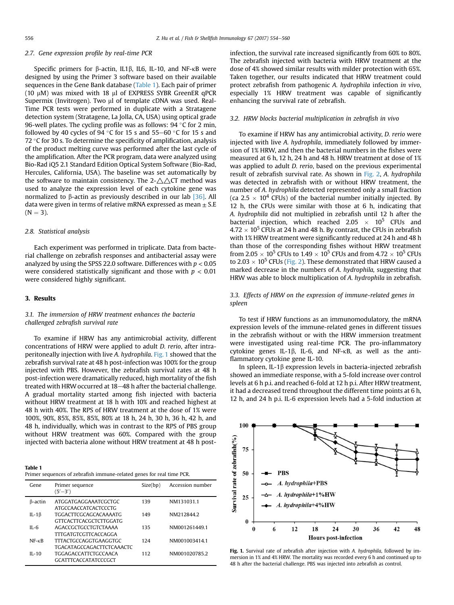#### 2.7. Gene expression profile by real-time PCR

Specific primers for  $\beta$ -actin, IL1 $\beta$ , IL6, IL-10, and NF- $\kappa$ B were designed by using the Primer 3 software based on their available sequences in the Gene Bank database (Table 1). Each pair of primer (10  $\mu$ M) was mixed with 18  $\mu$ l of EXPRESS SYBR GreenER qPCR Supermix (Invitrogen). Two µl of template cDNA was used. Real-Time PCR tests were performed in duplicate with a Stratagene detection system (Stratagene, La Jolla, CA, USA) using optical grade 96-well plates. The cycling profile was as follows:  $94^{\circ}$ C for 2 min, followed by 40 cycles of 94  $\degree$ C for 15 s and 55–60  $\degree$ C for 15 s and 72  $\degree$ C for 30 s. To determine the specificity of amplification, analysis of the product melting curve was performed after the last cycle of the amplification. After the PCR program, data were analyzed using Bio-Rad iQ5 2.1 Standard Edition Optical System Software (Bio-Rad, Hercules, California, USA). The baseline was set automatically by the software to maintain consistency. The  $2-\triangle\triangle$ CT method was used to analyze the expression level of each cytokine gene was normalized to  $\beta$ -actin as previously described in our lab [\[36\].](#page-6-0) All data were given in terms of relative mRNA expressed as mean  $\pm$  S.E  $(N = 3)$ .

#### 2.8. Statistical analysis

Each experiment was performed in triplicate. Data from bacterial challenge on zebrafish responses and antibacterial assay were analyzed by using the SPSS 22.0 software. Differences with  $p < 0.05$ were considered statistically significant and those with  $p < 0.01$ were considered highly significant.

#### 3. Results

## 3.1. The immersion of HRW treatment enhances the bacteria challenged zebrafish survival rate

To examine if HRW has any antimicrobial activity, different concentrations of HRW were applied to adult D. rerio, after intraperitoneally injection with live A. hydrophila. Fig. 1 showed that the zebrafish survival rate at 48 h post-infection was 100% for the group injected with PBS. However, the zebrafish survival rates at 48 h post-infection were dramatically reduced, high mortality of the fish treated with HRW occurred at 18-48 h after the bacterial challenge. A gradual mortality started among fish injected with bacteria without HRW treatment at 18 h with 10% and reached highest at 48 h with 40%. The RPS of HRW treatment at the dose of 1% were 100%, 90%, 85%, 85%, 85%, 80% at 18 h, 24 h, 30 h, 36 h, 42 h, and 48 h, individually, which was in contrast to the RPS of PBS group without HRW treatment was 60%. Compared with the group injected with bacteria alone without HRW treatment at 48 h post-

| Table 1                                                               |
|-----------------------------------------------------------------------|
| Primer sequences of zebrafish immune-related genes for real time PCR. |

| Gene            | Primer sequence                  | Size(bp) | Accession number |
|-----------------|----------------------------------|----------|------------------|
|                 | $(5' - 3')$                      |          |                  |
|                 |                                  |          |                  |
| B-actin         | ATGGATGAGGAAATCGCTGC             | 139      | NM131031.1       |
|                 | ATGCCAACCATCACTCCCTG             |          |                  |
| IL-1 $\beta$    | <b>TGGACTTCGCAGCACAAAATG</b>     | 149      | NM212844.2       |
|                 | <b>GTTCACTTCACGCTCTTGGATG</b>    |          |                  |
|                 |                                  |          |                  |
| $II - 6$        | AGACCGCTGCCTGTCTAAAA             | 135      | NM001261449.1    |
|                 | <b>TITGATGTCGTTCACCAGGA</b>      |          |                  |
| $NF - \kappa R$ | <b>TITACTGCCAGGTGAAGGTGC</b>     | 124      | NM001003414.1    |
|                 | <b>TGACATAGCCAGACTTCTCAAACTC</b> |          |                  |
| $II - 10$       | TGGAGACCATTCTGCCAACA             | 112      | NM001020785.2    |
|                 | <b>GCATTTCACCATATCCCGCT</b>      |          |                  |
|                 |                                  |          |                  |

infection, the survival rate increased significantly from 60% to 80%. The zebrafish injected with bacteria with HRW treatment at the dose of 4% showed similar results with milder protection with 65%. Taken together, our results indicated that HRW treatment could protect zebrafish from pathogenic A. hydrophila infection in vivo, especially 1% HRW treatment was capable of significantly enhancing the survival rate of zebrafish.

#### 3.2. HRW blocks bacterial multiplication in zebrafish in vivo

To examine if HRW has any antimicrobial activity, D. rerio were injected with live A. hydrophila, immediately followed by immersion of 1% HRW, and then the bacterial numbers in the fishes were measured at 6 h, 12 h, 24 h and 48 h. HRW treatment at dose of 1% was applied to adult D. rerio, based on the previous experimental result of zebrafish survival rate. As shown in [Fig. 2,](#page-3-0) A. hydrophila was detected in zebrafish with or without HRW treatment, the number of A. hydrophila detected represented only a small fraction (ca 2.5  $\times$  10<sup>4</sup> CFUs) of the bacterial number initially injected. By 12 h, the CFUs were similar with those at 6 h, indicating that A. hydrophila did not multiplied in zebrafish until 12 h after the bacterial injection, which reached 2.05  $\times$  10<sup>5</sup> CFUs and  $4.72 \times 10^5$  CFUs at 24 h and 48 h. By contrast, the CFUs in zebrafish with 1% HRW treatment were significantly reduced at 24 h and 48 h than those of the corresponding fishes without HRW treatment from 2.05  $\times$  10<sup>5</sup> CFUs to 1.49  $\times$  10<sup>5</sup> CFUs and from 4.72  $\times$  10<sup>5</sup> CFUs to 2.03  $\times$  10<sup>5</sup> CFUs [\(Fig. 2\)](#page-3-0). These demonstrated that HRW caused a marked decrease in the numbers of A. hydrophila, suggesting that HRW was able to block multiplication of A. hydrophila in zebrafish.

## 3.3. Effects of HRW on the expression of immune-related genes in spleen

To test if HRW functions as an immunomodulatory, the mRNA expression levels of the immune-related genes in different tissues in the zebrafish without or with the HRW immersion treatment were investigated using real-time PCR. The pro-inflammatory cytokine genes IL-1 $\beta$ , IL-6, and NF- $\kappa$ B, as well as the antiflammatory cytokine gene IL-10.

In spleen, IL-1 $\beta$  expression levels in bacteria-injected zebrafish showed an immediate response, with a 5-fold increase over control levels at 6 h p.i. and reached 6-fold at 12 h p.i. After HRW treatment, it had a decreased trend throughout the different time points at 6 h, 12 h, and 24 h p.i. IL-6 expression levels had a 5-fold induction at



Fig. 1. Survival rate of zebrafish after injection with A. hydrophila, followed by immersion in 1% and 4% HRW. The mortality was recorded every 6 h and continued up to 48 h after the bacterial challenge. PBS was injected into zebrafish as control.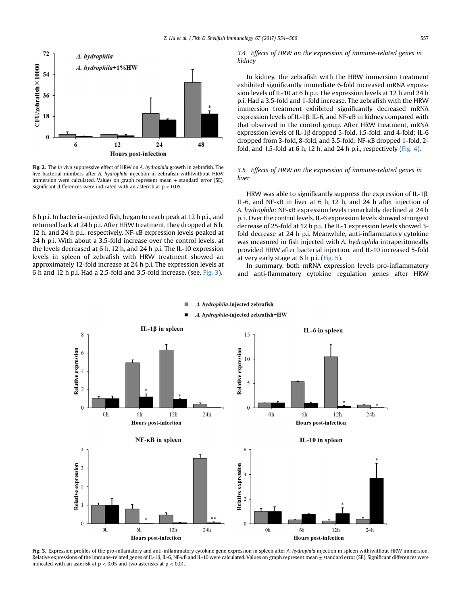<span id="page-3-0"></span>

Fig. 2. The in vivo suppressive effect of HRW on A. hydrophila growth in zebrafish. The live bacterial numbers after A. hydrophila injection in zebrafish with/without HRW immersion were calculated. Values on graph represent mean  $\pm$  standard error (SE). Significant differences were indicated with an asterisk at  $p < 0.05$ .

6 h p.i. In bacteria-injected fish, began to reach peak at 12 h p.i., and returned back at 24 h p.i. After HRW treatment, they dropped at 6 h, 12 h, and 24 h p.i., respectively. NF-kB expression levels peaked at 24 h p.i. With about a 3.5-fold increase over the control levels, at the levels decreased at 6 h, 12 h, and 24 h p.i. The IL-10 expression levels in spleen of zebrafish with HRW treatment showed an approximately 12-fold increase at 24 h p.i. The expression levels at 6 h and 12 h p.i. Had a 2.5-fold and 3.5-fold increase. (see. Fig. 3).

#### 3.4. Effects of HRW on the expression of immune-related genes in kidney

In kidney, the zebrafish with the HRW immersion treatment exhibited significantly immediate 6-fold increased mRNA expression levels of IL-10 at 6 h p.i. The expression levels at 12 h and 24 h p.i. Had a 3.5-fold and 1-fold increase. The zebrafish with the HRW immersion treatment exhibited significantly decreased mRNA expression levels of IL-1 $\beta$ , IL-6, and NF- $\kappa$ B in kidney compared with that observed in the control group. After HRW treatment, mRNA expression levels of IL-1 $\beta$  dropped 5-fold, 1.5-fold, and 4-fold; IL-6 dropped from 3-fold, 8-fold, and 3.5-fold; NF-kB dropped 1-fold, 2 fold, and 1.5-fold at 6 h, 12 h, and 24 h p.i., respectively [\(Fig. 4](#page-4-0)).

### 3.5. Effects of HRW on the expression of immune-related genes in liver

HRW was able to significantly suppress the expression of IL-1 $\beta$ , IL-6, and NF-kB in liver at 6 h, 12 h, and 24 h after injection of A. hydrophila: NF-kB expression levels remarkably declined at 24 h p. i. Over the control levels. IL-6 expression levels showed strongest decrease of 25-fold at 12 h p.i. The IL-1 expression levels showed 3 fold decrease at 24 h p.i. Meanwhile, anti-inflammatory cytokine was measured in fish injected with A. hydrophila intraperitoneally provided HRW after bacterial injection, and IL-10 increased 5-fold at very early stage at 6 h p.i. [\(Fig. 5](#page-5-0)).

In summary, both mRNA expression levels pro-inflammatory and anti-flammatory cytokine regulation genes after HRW



Fig. 3. Expression profiles of the pro-inflamatory and anti-inflammatory cytokine gene expression in spleen after A. hydrophila injection in spleen with/without HRW immersion. Relative expressions of the immune-related genes of IL-1 $\beta$ , IL-6, NF-kB and IL-10 were calculated. Values on graph represent mean  $\pm$  standard error (SE). Significant differences were indicated with an asterisk at  $p < 0.05$  and two asterisks at  $p < 0.01$ .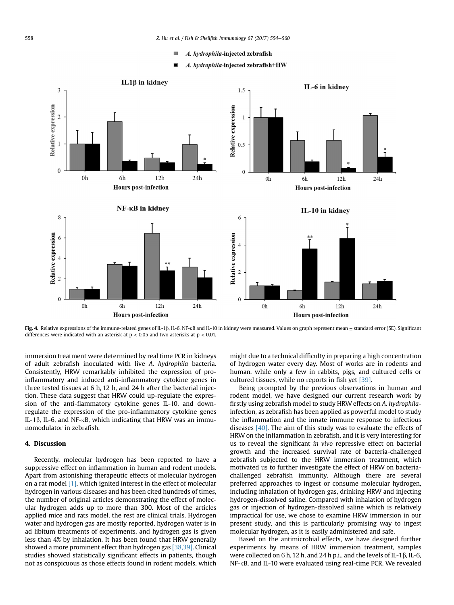- A. hydrophila-injected zebrafish **I**
- A. hydrophila-injected zebrafish+HW

<span id="page-4-0"></span>

Fig. 4. Relative expressions of the immune-related genes of IL-1 $\beta$ , IL-6, NF-kB and IL-10 in kidney were measured. Values on graph represent mean  $\pm$  standard error (SE). Significant differences were indicated with an asterisk at  $p < 0.05$  and two asterisks at  $p < 0.01$ .

immersion treatment were determined by real time PCR in kidneys of adult zebrafish inoculated with live A. hydrophila bacteria. Consistently, HRW remarkably inhibited the expression of proinflammatory and induced anti-inflammatory cytokine genes in three tested tissues at 6 h, 12 h, and 24 h after the bacterial injection. These data suggest that HRW could up-regulate the expression of the anti-flammatory cytokine genes IL-10, and downregulate the expression of the pro-inflammatory cytokine genes IL-1 $\beta$ , IL-6, and NF- $\kappa$ B, which indicating that HRW was an immunomodulator in zebrafish.

#### 4. Discussion

Recently, molecular hydrogen has been reported to have a suppressive effect on inflammation in human and rodent models. Apart from astonishing therapeutic effects of molecular hydrogen on a rat model [\[1\]](#page-6-0), which ignited interest in the effect of molecular hydrogen in various diseases and has been cited hundreds of times, the number of original articles demonstrating the effect of molecular hydrogen adds up to more than 300. Most of the articles applied mice and rats model, the rest are clinical trials. Hydrogen water and hydrogen gas are mostly reported, hydrogen water is in ad libitum treatments of experiments, and hydrogen gas is given less than 4% by inhalation. It has been found that HRW generally showed a more prominent effect than hydrogen gas [\[38,39\].](#page-6-0) Clinical studies showed statistically significant effects in patients, though not as conspicuous as those effects found in rodent models, which might due to a technical difficulty in preparing a high concentration of hydrogen water every day. Most of works are in rodents and human, while only a few in rabbits, pigs, and cultured cells or cultured tissues, while no reports in fish yet [\[39\].](#page-6-0)

Being prompted by the previous observations in human and rodent model, we have designed our current research work by firstly using zebrafish model to study HRW effects on A. hydrophilainfection, as zebrafish has been applied as powerful model to study the inflammation and the innate immune response to infectious diseases [\[40\]](#page-6-0). The aim of this study was to evaluate the effects of HRW on the inflammation in zebrafish, and it is very interesting for us to reveal the significant in vivo repressive effect on bacterial growth and the increased survival rate of bacteria-challenged zebrafish subjected to the HRW immersion treatment, which motivated us to further investigate the effect of HRW on bacteriachallenged zebrafish immunity. Although there are several preferred approaches to ingest or consume molecular hydrogen, including inhalation of hydrogen gas, drinking HRW and injecting hydrogen-dissolved saline. Compared with inhalation of hydrogen gas or injection of hydrogen-dissolved saline which is relatively impractical for use, we chose to examine HRW immersion in our present study, and this is particularly promising way to ingest molecular hydrogen, as it is easily administered and safe.

Based on the antimicrobial effects, we have designed further experiments by means of HRW immersion treatment, samples were collected on 6 h, 12 h, and 24 h p.i., and the levels of IL-1 $\beta$ , IL-6, NF-kB, and IL-10 were evaluated using real-time PCR. We revealed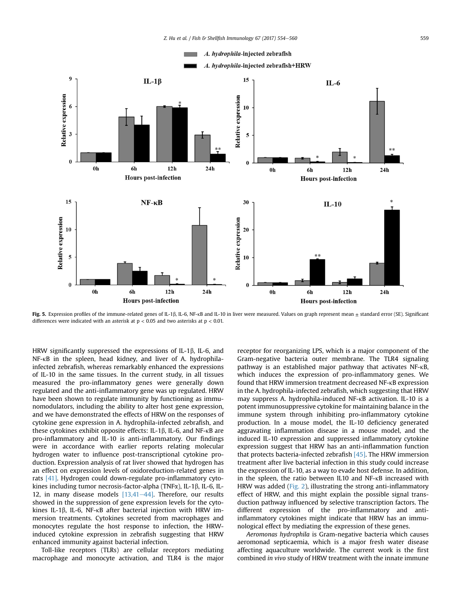<span id="page-5-0"></span>

Fig. 5. Expression profiles of the immune-related genes of IL-1 $\beta$ , IL-6, NF-kB and IL-10 in liver were measured. Values on graph represent mean  $\pm$  standard error (SE). Significant differences were indicated with an asterisk at  $p < 0.05$  and two asterisks at  $p < 0.01$ .

HRW significantly suppressed the expressions of IL-1 $\beta$ , IL-6, and NF-kB in the spleen, head kidney, and liver of A. hydrophilainfected zebrafish, whereas remarkably enhanced the expressions of IL-10 in the same tissues. In the current study, in all tissues measured the pro-inflammatory genes were generally down regulated and the anti-inflammatory gene was up regulated. HRW have been shown to regulate immunity by functioning as immunomodulators, including the ability to alter host gene expression, and we have demonstrated the effects of HRW on the responses of cytokine gene expression in A. hydrophila-infected zebrafish, and these cytokines exhibit opposite effects: IL-1 $\beta$ , IL-6, and NF- $\kappa$ B are pro-inflammatory and IL-10 is anti-inflammatory. Our findings were in accordance with earlier reports relating molecular hydrogen water to influence post-transcriptional cytokine production. Expression analysis of rat liver showed that hydrogen has an effect on expression levels of oxidoreduction-related genes in rats [\[41\].](#page-6-0) Hydrogen could down-regulate pro-inflammatory cytokines including tumor necrosis-factor-alpha (TNF $\alpha$ ), IL-1 $\beta$ , IL-6, IL-12, in many disease models  $[13,41-44]$  $[13,41-44]$  $[13,41-44]$ . Therefore, our results showed in the suppression of gene expression levels for the cytokines IL-1 $\beta$ , IL-6, NF- $\kappa$ B after bacterial injection with HRW immersion treatments. Cytokines secreted from macrophages and monocytes regulate the host response to infection, the HRWinduced cytokine expression in zebrafish suggesting that HRW enhanced immunity against bacterial infection.

Toll-like receptors (TLRs) are cellular receptors mediating macrophage and monocyte activation, and TLR4 is the major receptor for reorganizing LPS, which is a major component of the Gram-negative bacteria outer membrane. The TLR4 signaling pathway is an established major pathway that activates NF-kB, which induces the expression of pro-inflammatory genes. We found that HRW immersion treatment decreased NF-kB expression in the A. hydrophila-infected zebrafish, which suggesting that HRW may suppress A. hydrophila-induced NF-kB activation. IL-10 is a potent immunosuppressive cytokine for maintaining balance in the immune system through inhibiting pro-inflammatory cytokine production. In a mouse model, the IL-10 deficiency generated aggravating inflammation disease in a mouse model, and the induced IL-10 expression and suppressed inflammatory cytokine expression suggest that HRW has an anti-inflammation function that protects bacteria-infected zebrafish [\[45\].](#page-6-0) The HRW immersion treatment after live bacterial infection in this study could increase the expression of IL-10, as a way to evade host defense. In addition, in the spleen, the ratio between IL10 and NF-kB increased with HRW was added ([Fig. 2](#page-3-0)), illustrating the strong anti-inflammatory effect of HRW, and this might explain the possible signal transduction pathway influenced by selective transcription factors. The different expression of the pro-inflammatory and antiinflammatory cytokines might indicate that HRW has an immunological effect by mediating the expression of these genes.

Aeromonas hydrophila is Gram-negative bacteria which causes aeromonad septicaemia, which is a major fresh water disease affecting aquaculture worldwide. The current work is the first combined in vivo study of HRW treatment with the innate immune